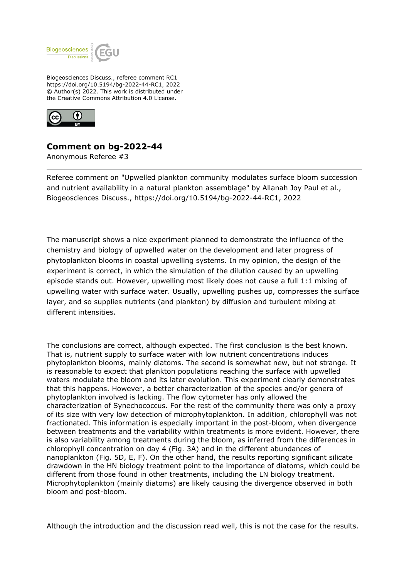

Biogeosciences Discuss., referee comment RC1 https://doi.org/10.5194/bg-2022-44-RC1, 2022 © Author(s) 2022. This work is distributed under the Creative Commons Attribution 4.0 License.



## **Comment on bg-2022-44**

Anonymous Referee #3

Referee comment on "Upwelled plankton community modulates surface bloom succession and nutrient availability in a natural plankton assemblage" by Allanah Joy Paul et al., Biogeosciences Discuss., https://doi.org/10.5194/bg-2022-44-RC1, 2022

The manuscript shows a nice experiment planned to demonstrate the influence of the chemistry and biology of upwelled water on the development and later progress of phytoplankton blooms in coastal upwelling systems. In my opinion, the design of the experiment is correct, in which the simulation of the dilution caused by an upwelling episode stands out. However, upwelling most likely does not cause a full 1:1 mixing of upwelling water with surface water. Usually, upwelling pushes up, compresses the surface layer, and so supplies nutrients (and plankton) by diffusion and turbulent mixing at different intensities.

The conclusions are correct, although expected. The first conclusion is the best known. That is, nutrient supply to surface water with low nutrient concentrations induces phytoplankton blooms, mainly diatoms. The second is somewhat new, but not strange. It is reasonable to expect that plankton populations reaching the surface with upwelled waters modulate the bloom and its later evolution. This experiment clearly demonstrates that this happens. However, a better characterization of the species and/or genera of phytoplankton involved is lacking. The flow cytometer has only allowed the characterization of Synechococcus. For the rest of the community there was only a proxy of its size with very low detection of microphytoplankton. In addition, chlorophyll was not fractionated. This information is especially important in the post-bloom, when divergence between treatments and the variability within treatments is more evident. However, there is also variability among treatments during the bloom, as inferred from the differences in chlorophyll concentration on day 4 (Fig. 3A) and in the different abundances of nanoplankton (Fig. 5D, E, F). On the other hand, the results reporting significant silicate drawdown in the HN biology treatment point to the importance of diatoms, which could be different from those found in other treatments, including the LN biology treatment. Microphytoplankton (mainly diatoms) are likely causing the divergence observed in both bloom and post-bloom.

Although the introduction and the discussion read well, this is not the case for the results.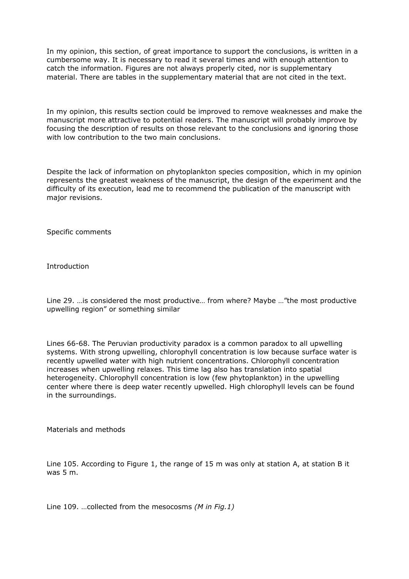In my opinion, this section, of great importance to support the conclusions, is written in a cumbersome way. It is necessary to read it several times and with enough attention to catch the information. Figures are not always properly cited, nor is supplementary material. There are tables in the supplementary material that are not cited in the text.

In my opinion, this results section could be improved to remove weaknesses and make the manuscript more attractive to potential readers. The manuscript will probably improve by focusing the description of results on those relevant to the conclusions and ignoring those with low contribution to the two main conclusions.

Despite the lack of information on phytoplankton species composition, which in my opinion represents the greatest weakness of the manuscript, the design of the experiment and the difficulty of its execution, lead me to recommend the publication of the manuscript with major revisions.

Specific comments

**Introduction** 

Line 29. …is considered the most productive… from where? Maybe …"the most productive upwelling region" or something similar

Lines 66-68. The Peruvian productivity paradox is a common paradox to all upwelling systems. With strong upwelling, chlorophyll concentration is low because surface water is recently upwelled water with high nutrient concentrations. Chlorophyll concentration increases when upwelling relaxes. This time lag also has translation into spatial heterogeneity. Chlorophyll concentration is low (few phytoplankton) in the upwelling center where there is deep water recently upwelled. High chlorophyll levels can be found in the surroundings.

Materials and methods

Line 105. According to Figure 1, the range of 15 m was only at station A, at station B it was 5 m.

Line 109. …collected from the mesocosms *(M in Fig.1)*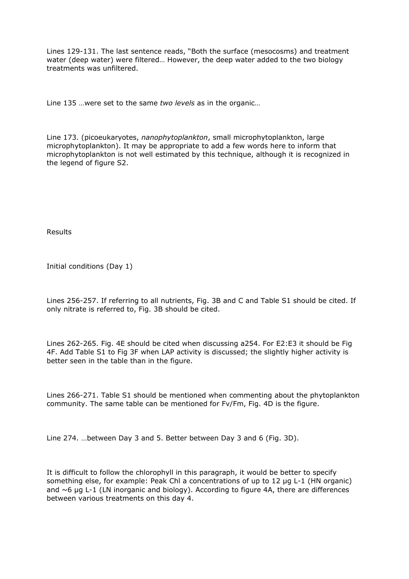Lines 129-131. The last sentence reads, "Both the surface (mesocosms) and treatment water (deep water) were filtered… However, the deep water added to the two biology treatments was unfiltered.

Line 135 …were set to the same *two levels* as in the organic…

Line 173. (picoeukaryotes, *nanophytoplankton*, small microphytoplankton, large microphytoplankton). It may be appropriate to add a few words here to inform that microphytoplankton is not well estimated by this technique, although it is recognized in the legend of figure S2.

Results

Initial conditions (Day 1)

Lines 256-257. If referring to all nutrients, Fig. 3B and C and Table S1 should be cited. If only nitrate is referred to, Fig. 3B should be cited.

Lines 262-265. Fig. 4E should be cited when discussing a254. For E2:E3 it should be Fig 4F. Add Table S1 to Fig 3F when LAP activity is discussed; the slightly higher activity is better seen in the table than in the figure.

Lines 266-271. Table S1 should be mentioned when commenting about the phytoplankton community. The same table can be mentioned for Fv/Fm, Fig. 4D is the figure.

Line 274. …between Day 3 and 5. Better between Day 3 and 6 (Fig. 3D).

It is difficult to follow the chlorophyll in this paragraph, it would be better to specify something else, for example: Peak Chl a concentrations of up to 12 µg L-1 (HN organic) and  $\sim$ 6 µg L-1 (LN inorganic and biology). According to figure 4A, there are differences between various treatments on this day 4.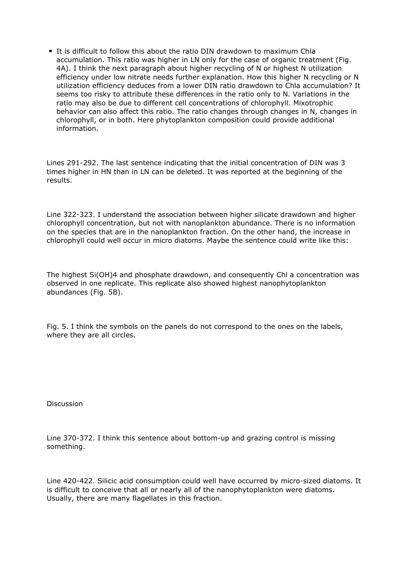It is difficult to follow this about the ratio DIN drawdown to maximum Chla accumulation. This ratio was higher in LN only for the case of organic treatment (Fig. 4A). I think the next paragraph about higher recycling of N or highest N utilization efficiency under low nitrate needs further explanation. How this higher N recycling or N utilization efficiency deduces from a lower DIN ratio drawdown to Chla accumulation? It seems too risky to attribute these differences in the ratio only to N. Variations in the ratio may also be due to different cell concentrations of chlorophyll. Mixotrophic behavior can also affect this ratio. The ratio changes through changes in N, changes in chlorophyll, or in both. Here phytoplankton composition could provide additional information.

Lines 291-292. The last sentence indicating that the initial concentration of DIN was 3 times higher in HN than in LN can be deleted. It was reported at the beginning of the results.

Line 322-323. I understand the association between higher silicate drawdown and higher chlorophyll concentration, but not with nanoplankton abundance. There is no information on the species that are in the nanoplankton fraction. On the other hand, the increase in chlorophyll could well occur in micro diatoms. Maybe the sentence could write like this:

The highest Si(OH)4 and phosphate drawdown, and consequently Chl a concentration was observed in one replicate. This replicate also showed highest nanophytoplankton abundances (Fig. 5B).

Fig. 5. I think the symbols on the panels do not correspond to the ones on the labels, where they are all circles.

Discussion

Line 370-372. I think this sentence about bottom-up and grazing control is missing something.

Line 420-422. Silicic acid consumption could well have occurred by micro-sized diatoms. It is difficult to conceive that all or nearly all of the nanophytoplankton were diatoms. Usually, there are many flagellates in this fraction.